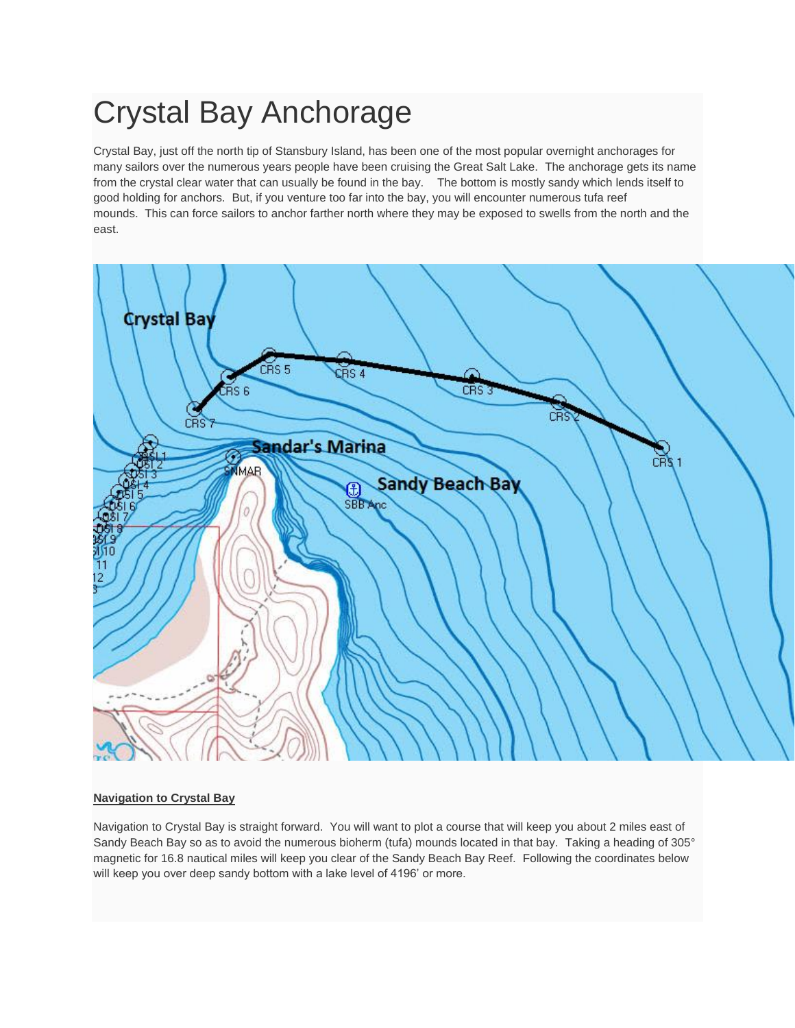## Crystal Bay Anchorage

Crystal Bay, just off the north tip of Stansbury Island, has been one of the most popular overnight anchorages for many sailors over the numerous years people have been cruising the Great Salt Lake. The anchorage gets its name from the crystal clear water that can usually be found in the bay. The bottom is mostly sandy which lends itself to good holding for anchors. But, if you venture too far into the bay, you will encounter numerous tufa reef mounds. This can force sailors to anchor farther north where they may be exposed to swells from the north and the east.



## **Navigation to Crystal Bay**

Navigation to Crystal Bay is straight forward. You will want to plot a course that will keep you about 2 miles east of Sandy Beach Bay so as to avoid the numerous bioherm (tufa) mounds located in that bay. Taking a heading of 305° magnetic for 16.8 nautical miles will keep you clear of the Sandy Beach Bay Reef. Following the coordinates below will keep you over deep sandy bottom with a lake level of 4196' or more.